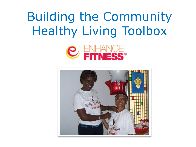### Building the Community Healthy Living Toolbox



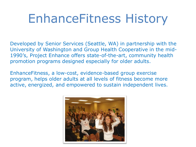### EnhanceFitness History

Developed by Senior Services (Seattle, WA) in partnership with the University of Washington and Group Health Cooperative in the mid-1990's, Project Enhance offers state-of-the-art, community health promotion programs designed especially for older adults.

EnhanceFitness, a low-cost, evidence-based group exercise program, helps older adults at all levels of fitness become more active, energized, and empowered to sustain independent lives.

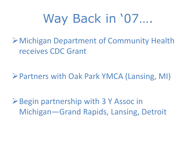### Way Back in '07….

Michigan Department of Community Health receives CDC Grant

Partners with Oak Park YMCA (Lansing, MI)

**≻Begin partnership with 3 Y Assoc in** Michigan—Grand Rapids, Lansing, Detroit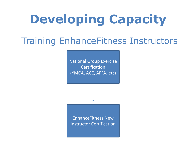# **Developing Capacity**

### Training EnhanceFitness Instructors

National Group Exercise Certification (YMCA, ACE, AFFA, etc)

EnhanceFitness New Instructor Certification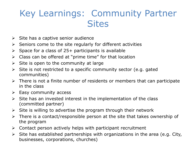#### Key Learnings: Community Partner **Sites**

- $\triangleright$  Site has a captive senior audience
- $\triangleright$  Seniors come to the site regularly for different activities
- $\triangleright$  Space for a class of 25+ participants is available
- $\triangleright$  Class can be offered at "prime time" for that location
- $\triangleright$  Site is open to the community at large
- $\triangleright$  Site is not restricted to a specific community sector (e.g. gated communities)
- $\triangleright$  There is not a finite number of residents or members that can participate in the class
- $\triangleright$  Easy community access
- $\triangleright$  Site has an invested interest in the implementation of the class (committed partner)
- $\triangleright$  Site is willing to advertise the program through their network
- $\triangleright$  There is a contact/responsible person at the site that takes ownership of the program
- $\triangleright$  Contact person actively helps with participant recruitment
- $\triangleright$  Site has established partnerships with organizations in the area (e.g. City, businesses, corporations, churches)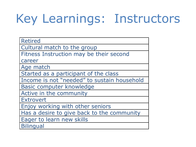# Key Learnings: Instructors

| <b>Retired</b>                              |
|---------------------------------------------|
| Cultural match to the group                 |
| Fitness Instruction may be their second     |
| career                                      |
| Age match                                   |
| Started as a participant of the class       |
| Income is not "needed" to sustain household |
| Basic computer knowledge                    |
| Active in the community                     |
| <b>Extrovert</b>                            |
| Enjoy working with other seniors            |
| Has a desire to give back to the community  |
| Eager to learn new skills                   |
| <b>Bilingual</b>                            |
|                                             |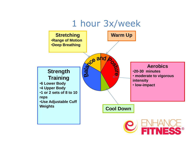#### 1 hour 3x/week